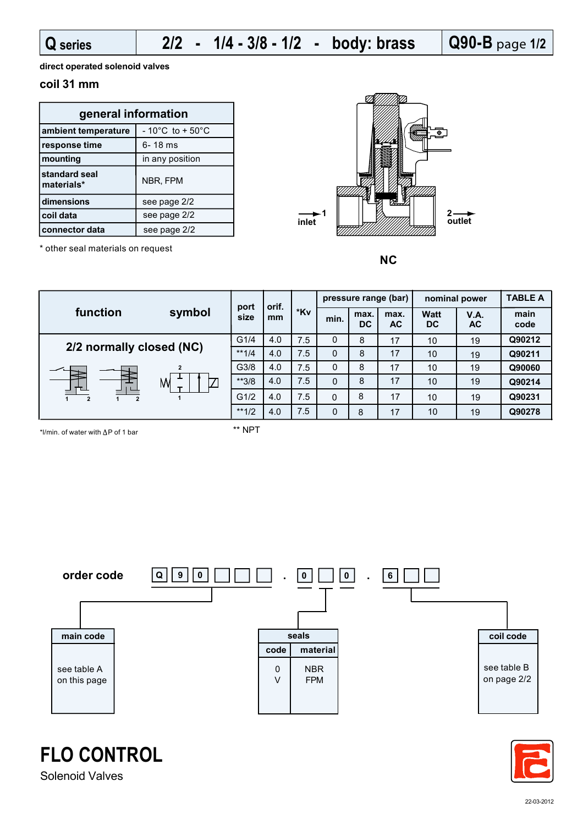**Q90-B** page **1/2**

**direct operated solenoid valves**

\* other seal materials on request

## **coil 31 mm**

| general information         |                                      |  |  |  |  |  |
|-----------------------------|--------------------------------------|--|--|--|--|--|
| ambient temperature         | $-10^{\circ}$ C to + 50 $^{\circ}$ C |  |  |  |  |  |
| response time               | 6-18 ms                              |  |  |  |  |  |
| mounting                    | in any position                      |  |  |  |  |  |
| standard seal<br>materials* | NBR, FPM                             |  |  |  |  |  |
| dimensions                  | see page 2/2                         |  |  |  |  |  |
| coil data                   | see page 2/2                         |  |  |  |  |  |
| connector data              | see page 2/2                         |  |  |  |  |  |



**NC**

**1 2 1 2 1 2 function symbol port size orif. mm \*Kv pressure range (bar) TABLE A**  $min.$  **max. DC max. AC Watt DC V.A. main code 2/2 normally closed (NC)** G1/4 4.0 <sup>0</sup> <sup>10</sup> <sup>19</sup> \*\*1/4 | 4.0 | 7.5 | 0 | 8 | 17 | 10 G3/8 | 4.0 | 7.5 | 0 | 8 | 17 | 10 3/8 \*\* 4.0 7.5 | 0 | 8 | 17 | 10 **Q90060** G1/2 4.0 4.0 \*\*1/2 7.5 7.5 7.5 7.5 7.5 0 0 8 8 8 8 8 17 17 17 17 17 10 10 19 19 19 19 19 **Q90212 Q90211 Q90278 Q90231 Q90214 AC nominal power**

\*l/min. of water with  $\Delta P$  of 1 bar

\*\* NPT





## **FLO CONTROL**

Solenoid Valves